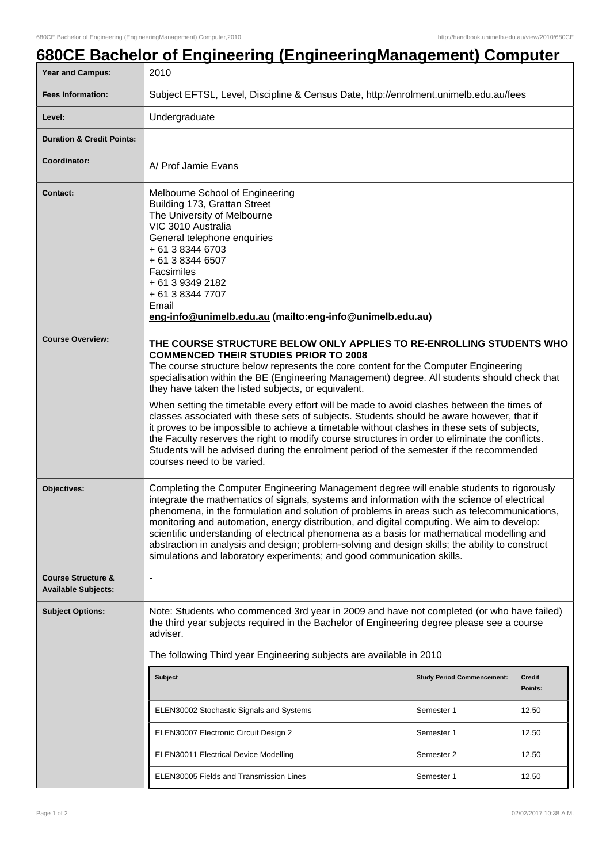## **680CE Bachelor of Engineering (EngineeringManagement) Computer**

| <b>Year and Campus:</b>                                     | 2010                                                                                                                                                                                                                                                                                                                                                                                                                                                                                                                                                                                                                                                                                                                                                                                                                                                                                      |                                   |         |  |
|-------------------------------------------------------------|-------------------------------------------------------------------------------------------------------------------------------------------------------------------------------------------------------------------------------------------------------------------------------------------------------------------------------------------------------------------------------------------------------------------------------------------------------------------------------------------------------------------------------------------------------------------------------------------------------------------------------------------------------------------------------------------------------------------------------------------------------------------------------------------------------------------------------------------------------------------------------------------|-----------------------------------|---------|--|
| <b>Fees Information:</b>                                    | Subject EFTSL, Level, Discipline & Census Date, http://enrolment.unimelb.edu.au/fees                                                                                                                                                                                                                                                                                                                                                                                                                                                                                                                                                                                                                                                                                                                                                                                                      |                                   |         |  |
| Level:                                                      | Undergraduate                                                                                                                                                                                                                                                                                                                                                                                                                                                                                                                                                                                                                                                                                                                                                                                                                                                                             |                                   |         |  |
| <b>Duration &amp; Credit Points:</b>                        |                                                                                                                                                                                                                                                                                                                                                                                                                                                                                                                                                                                                                                                                                                                                                                                                                                                                                           |                                   |         |  |
| <b>Coordinator:</b>                                         | A/ Prof Jamie Evans                                                                                                                                                                                                                                                                                                                                                                                                                                                                                                                                                                                                                                                                                                                                                                                                                                                                       |                                   |         |  |
| <b>Contact:</b>                                             | Melbourne School of Engineering<br>Building 173, Grattan Street<br>The University of Melbourne<br>VIC 3010 Australia<br>General telephone enquiries<br>+ 61 3 8344 6703<br>+ 61 3 8344 6507<br>Facsimiles<br>+ 61 3 9349 2182<br>+ 61 3 8344 7707<br>Email<br>eng-info@unimelb.edu.au (mailto:eng-info@unimelb.edu.au)                                                                                                                                                                                                                                                                                                                                                                                                                                                                                                                                                                    |                                   |         |  |
| <b>Course Overview:</b>                                     | THE COURSE STRUCTURE BELOW ONLY APPLIES TO RE-ENROLLING STUDENTS WHO<br><b>COMMENCED THEIR STUDIES PRIOR TO 2008</b><br>The course structure below represents the core content for the Computer Engineering<br>specialisation within the BE (Engineering Management) degree. All students should check that<br>they have taken the listed subjects, or equivalent.<br>When setting the timetable every effort will be made to avoid clashes between the times of<br>classes associated with these sets of subjects. Students should be aware however, that if<br>it proves to be impossible to achieve a timetable without clashes in these sets of subjects,<br>the Faculty reserves the right to modify course structures in order to eliminate the conflicts.<br>Students will be advised during the enrolment period of the semester if the recommended<br>courses need to be varied. |                                   |         |  |
| Objectives:                                                 | Completing the Computer Engineering Management degree will enable students to rigorously<br>integrate the mathematics of signals, systems and information with the science of electrical<br>phenomena, in the formulation and solution of problems in areas such as telecommunications,<br>monitoring and automation, energy distribution, and digital computing. We aim to develop:<br>scientific understanding of electrical phenomena as a basis for mathematical modelling and<br>abstraction in analysis and design; problem-solving and design skills; the ability to construct<br>simulations and laboratory experiments; and good communication skills.                                                                                                                                                                                                                           |                                   |         |  |
| <b>Course Structure &amp;</b><br><b>Available Subjects:</b> | $\qquad \qquad \blacksquare$                                                                                                                                                                                                                                                                                                                                                                                                                                                                                                                                                                                                                                                                                                                                                                                                                                                              |                                   |         |  |
| <b>Subject Options:</b>                                     | Note: Students who commenced 3rd year in 2009 and have not completed (or who have failed)<br>the third year subjects required in the Bachelor of Engineering degree please see a course<br>adviser.<br>The following Third year Engineering subjects are available in 2010                                                                                                                                                                                                                                                                                                                                                                                                                                                                                                                                                                                                                |                                   |         |  |
|                                                             | <b>Subject</b>                                                                                                                                                                                                                                                                                                                                                                                                                                                                                                                                                                                                                                                                                                                                                                                                                                                                            | <b>Study Period Commencement:</b> | Credit  |  |
|                                                             |                                                                                                                                                                                                                                                                                                                                                                                                                                                                                                                                                                                                                                                                                                                                                                                                                                                                                           |                                   | Points: |  |
|                                                             | ELEN30002 Stochastic Signals and Systems                                                                                                                                                                                                                                                                                                                                                                                                                                                                                                                                                                                                                                                                                                                                                                                                                                                  | Semester 1                        | 12.50   |  |
|                                                             | ELEN30007 Electronic Circuit Design 2                                                                                                                                                                                                                                                                                                                                                                                                                                                                                                                                                                                                                                                                                                                                                                                                                                                     | Semester 1                        | 12.50   |  |
|                                                             | ELEN30011 Electrical Device Modelling                                                                                                                                                                                                                                                                                                                                                                                                                                                                                                                                                                                                                                                                                                                                                                                                                                                     | Semester 2                        | 12.50   |  |
|                                                             | ELEN30005 Fields and Transmission Lines                                                                                                                                                                                                                                                                                                                                                                                                                                                                                                                                                                                                                                                                                                                                                                                                                                                   | Semester 1                        | 12.50   |  |